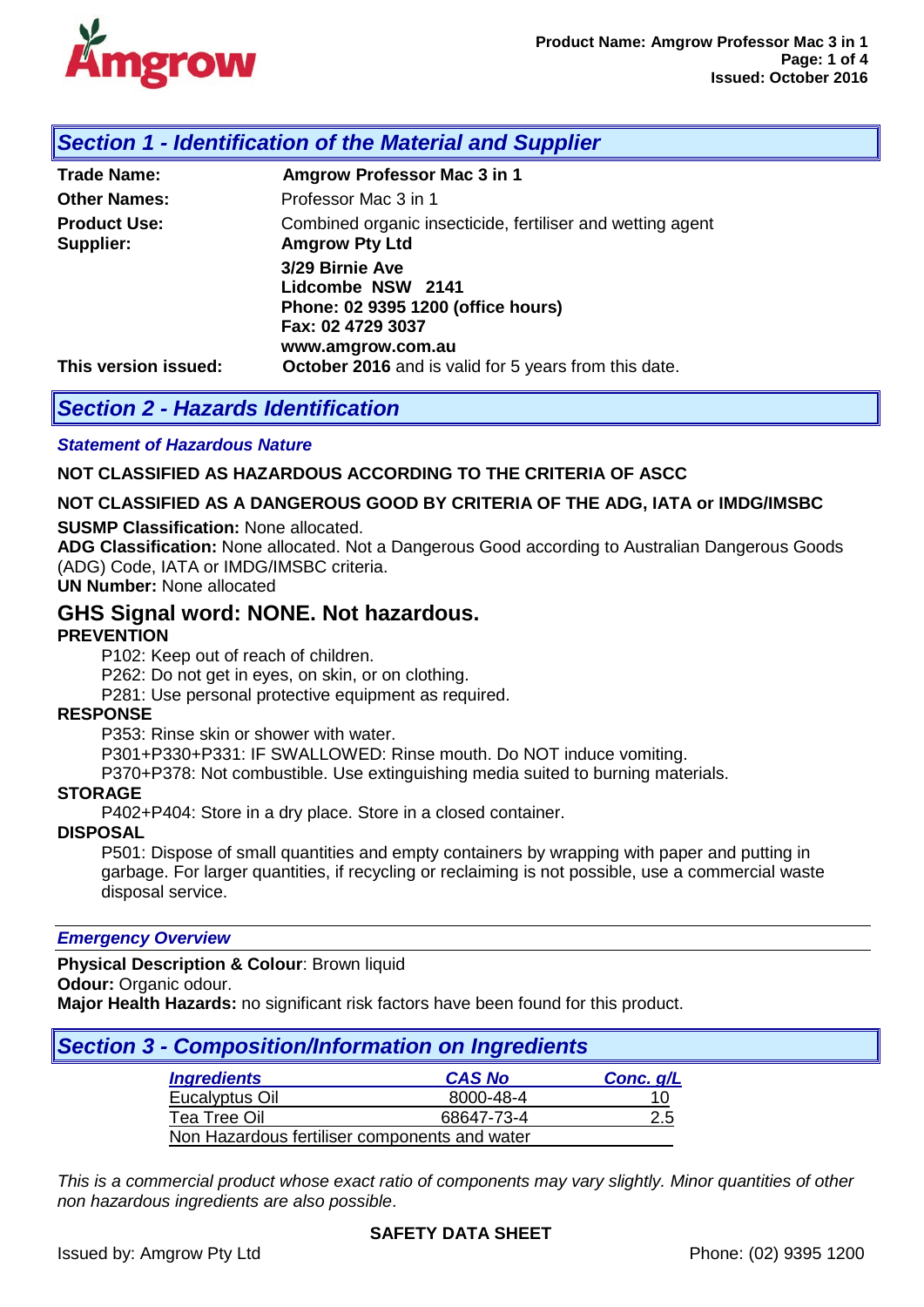

## *Section 1 - Identification of the Material and Supplier*

| <b>Trade Name:</b>               | Amgrow Professor Mac 3 in 1                                                                     |
|----------------------------------|-------------------------------------------------------------------------------------------------|
| <b>Other Names:</b>              | Professor Mac 3 in 1                                                                            |
| <b>Product Use:</b><br>Supplier: | Combined organic insecticide, fertiliser and wetting agent<br><b>Amgrow Pty Ltd</b>             |
|                                  | 3/29 Birnie Ave<br>Lidcombe NSW 2141<br>Phone: 02 9395 1200 (office hours)<br>Fax: 02 4729 3037 |
| This version issued:             | www.amgrow.com.au<br>October 2016 and is valid for 5 years from this date.                      |

# *Section 2 - Hazards Identification*

### *Statement of Hazardous Nature*

### **NOT CLASSIFIED AS HAZARDOUS ACCORDING TO THE CRITERIA OF ASCC**

### **NOT CLASSIFIED AS A DANGEROUS GOOD BY CRITERIA OF THE ADG, IATA or IMDG/IMSBC**

### **SUSMP Classification:** None allocated.

**ADG Classification:** None allocated. Not a Dangerous Good according to Australian Dangerous Goods (ADG) Code, IATA or IMDG/IMSBC criteria.

**UN Number:** None allocated

## **GHS Signal word: NONE. Not hazardous.**

### **PREVENTION**

P102: Keep out of reach of children.

P262: Do not get in eyes, on skin, or on clothing.

P281: Use personal protective equipment as required.

### **RESPONSE**

P353: Rinse skin or shower with water.

P301+P330+P331: IF SWALLOWED: Rinse mouth. Do NOT induce vomiting.

P370+P378: Not combustible. Use extinguishing media suited to burning materials.

### **STORAGE**

P402+P404: Store in a dry place. Store in a closed container.

### **DISPOSAL**

P501: Dispose of small quantities and empty containers by wrapping with paper and putting in garbage. For larger quantities, if recycling or reclaiming is not possible, use a commercial waste disposal service.

### *Emergency Overview*

### **Physical Description & Colour**: Brown liquid

### **Odour:** Organic odour.

**Major Health Hazards:** no significant risk factors have been found for this product.

| Section 3 - Composition/Information on Ingredients |               |           |  |  |
|----------------------------------------------------|---------------|-----------|--|--|
| <b>Ingredients</b>                                 | <b>CAS No</b> | Conc. g/L |  |  |
| Fucalyptus Oil                                     | $8000-48-4$   |           |  |  |

| --------------                                |            | _ _ _ _ _ _ _ _ |
|-----------------------------------------------|------------|-----------------|
| Eucalyptus Oil                                | 8000-48-4  |                 |
| Tea Tree Oil                                  | 68647-73-4 |                 |
| Non Hazardous fertiliser components and water |            |                 |

*This is a commercial product whose exact ratio of components may vary slightly. Minor quantities of other non hazardous ingredients are also possible*.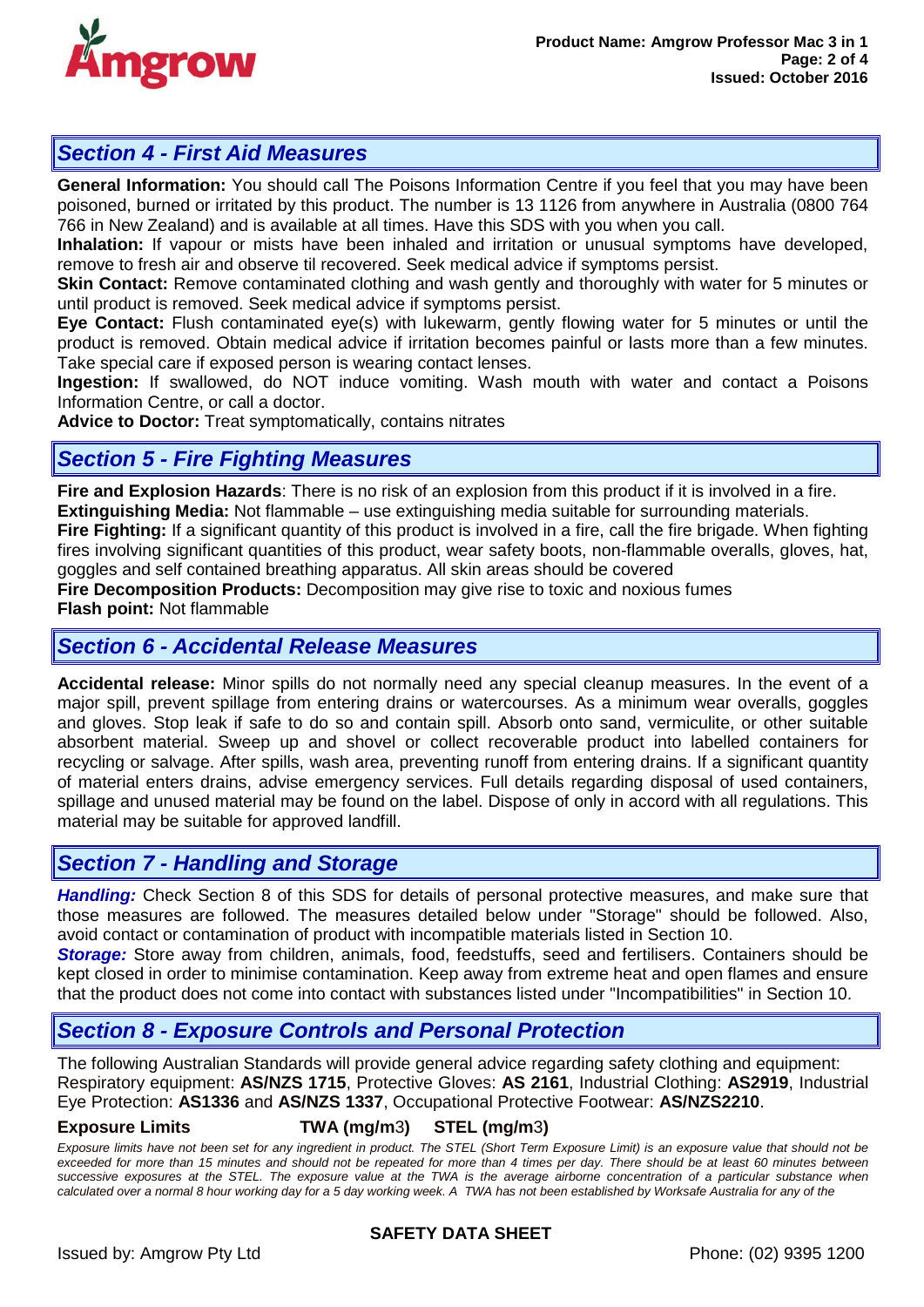

## *Section 4 - First Aid Measures*

**General Information:** You should call The Poisons Information Centre if you feel that you may have been poisoned, burned or irritated by this product. The number is 13 1126 from anywhere in Australia (0800 764 766 in New Zealand) and is available at all times. Have this SDS with you when you call.

**Inhalation:** If vapour or mists have been inhaled and irritation or unusual symptoms have developed, remove to fresh air and observe til recovered. Seek medical advice if symptoms persist.

**Skin Contact:** Remove contaminated clothing and wash gently and thoroughly with water for 5 minutes or until product is removed. Seek medical advice if symptoms persist.

**Eye Contact:** Flush contaminated eye(s) with lukewarm, gently flowing water for 5 minutes or until the product is removed. Obtain medical advice if irritation becomes painful or lasts more than a few minutes. Take special care if exposed person is wearing contact lenses.

**Ingestion:** If swallowed, do NOT induce vomiting. Wash mouth with water and contact a Poisons Information Centre, or call a doctor.

**Advice to Doctor:** Treat symptomatically, contains nitrates

# *Section 5 - Fire Fighting Measures*

**Fire and Explosion Hazards**: There is no risk of an explosion from this product if it is involved in a fire. **Extinguishing Media:** Not flammable – use extinguishing media suitable for surrounding materials. **Fire Fighting:** If a significant quantity of this product is involved in a fire, call the fire brigade. When fighting fires involving significant quantities of this product, wear safety boots, non-flammable overalls, gloves, hat, goggles and self contained breathing apparatus. All skin areas should be covered

**Fire Decomposition Products:** Decomposition may give rise to toxic and noxious fumes

**Flash point:** Not flammable

## *Section 6 - Accidental Release Measures*

**Accidental release:** Minor spills do not normally need any special cleanup measures. In the event of a major spill, prevent spillage from entering drains or watercourses. As a minimum wear overalls, goggles and gloves. Stop leak if safe to do so and contain spill. Absorb onto sand, vermiculite, or other suitable absorbent material. Sweep up and shovel or collect recoverable product into labelled containers for recycling or salvage. After spills, wash area, preventing runoff from entering drains. If a significant quantity of material enters drains, advise emergency services. Full details regarding disposal of used containers, spillage and unused material may be found on the label. Dispose of only in accord with all regulations. This material may be suitable for approved landfill.

## *Section 7 - Handling and Storage*

*Handling:* Check Section 8 of this SDS for details of personal protective measures, and make sure that those measures are followed. The measures detailed below under "Storage" should be followed. Also, avoid contact or contamination of product with incompatible materials listed in Section 10.

*Storage:* Store away from children, animals, food, feedstuffs, seed and fertilisers. Containers should be kept closed in order to minimise contamination. Keep away from extreme heat and open flames and ensure that the product does not come into contact with substances listed under "Incompatibilities" in Section 10.

## *Section 8 - Exposure Controls and Personal Protection*

The following Australian Standards will provide general advice regarding safety clothing and equipment: Respiratory equipment: **AS/NZS 1715**, Protective Gloves: **AS 2161**, Industrial Clothing: **AS2919**, Industrial Eye Protection: **AS1336** and **AS/NZS 1337**, Occupational Protective Footwear: **AS/NZS2210**.

### **Exposure Limits TWA (mg/m**3**) STEL (mg/m**3**)**

*Exposure limits have not been set for any ingredient in product. The STEL (Short Term Exposure Limit) is an exposure value that should not be*  exceeded for more than 15 minutes and should not be repeated for more than 4 times per day. There should be at least 60 minutes between *successive exposures at the STEL. The exposure value at the TWA is the average airborne concentration of a particular substance when calculated over a normal 8 hour working day for a 5 day working week. A TWA has not been established by Worksafe Australia for any of the*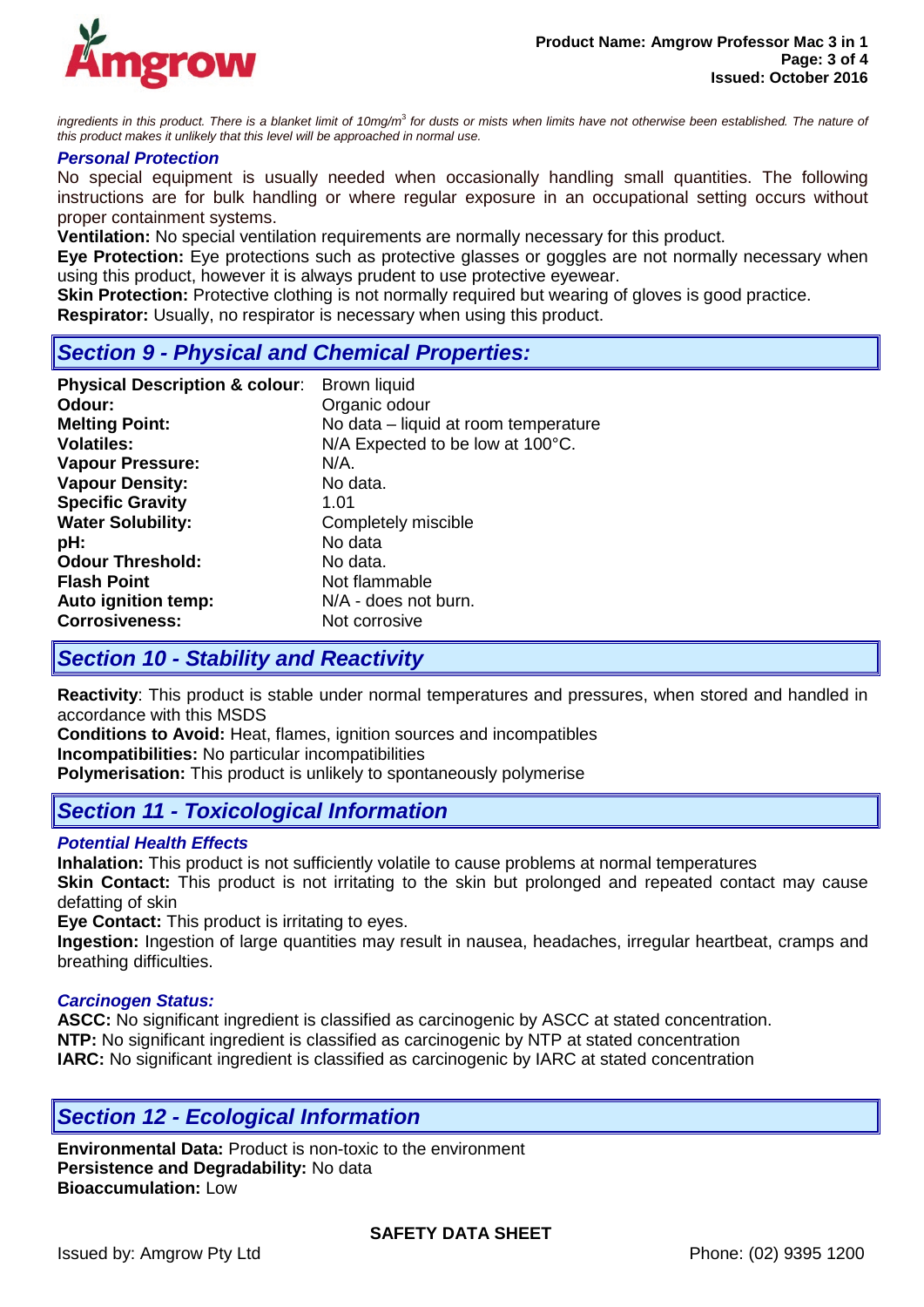

ingredients in this product. There is a blanket limit of 10mg/m<sup>3</sup> for dusts or mists when limits have not otherwise been established. The nature of *this product makes it unlikely that this level will be approached in normal use.*

#### *Personal Protection*

No special equipment is usually needed when occasionally handling small quantities. The following instructions are for bulk handling or where regular exposure in an occupational setting occurs without proper containment systems.

**Ventilation:** No special ventilation requirements are normally necessary for this product.

**Eye Protection:** Eye protections such as protective glasses or goggles are not normally necessary when using this product, however it is always prudent to use protective eyewear.

**Skin Protection:** Protective clothing is not normally required but wearing of gloves is good practice.

**Respirator:** Usually, no respirator is necessary when using this product.

### *Section 9 - Physical and Chemical Properties:*

| Brown liquid                         |
|--------------------------------------|
| Organic odour                        |
| No data – liquid at room temperature |
| N/A Expected to be low at 100°C.     |
| $N/A$ .                              |
| No data.                             |
| 1.01                                 |
| Completely miscible                  |
| No data                              |
| No data.                             |
| Not flammable                        |
| N/A - does not burn.                 |
| Not corrosive                        |
|                                      |

### *Section 10 - Stability and Reactivity*

**Reactivity**: This product is stable under normal temperatures and pressures, when stored and handled in accordance with this MSDS

**Conditions to Avoid:** Heat, flames, ignition sources and incompatibles **Incompatibilities:** No particular incompatibilities **Polymerisation:** This product is unlikely to spontaneously polymerise

### *Section 11 - Toxicological Information*

### *Potential Health Effects*

**Inhalation:** This product is not sufficiently volatile to cause problems at normal temperatures **Skin Contact:** This product is not irritating to the skin but prolonged and repeated contact may cause defatting of skin

**Eye Contact:** This product is irritating to eyes.

**Ingestion:** Ingestion of large quantities may result in nausea, headaches, irregular heartbeat, cramps and breathing difficulties.

### *Carcinogen Status:*

**ASCC:** No significant ingredient is classified as carcinogenic by ASCC at stated concentration. **NTP:** No significant ingredient is classified as carcinogenic by NTP at stated concentration **IARC:** No significant ingredient is classified as carcinogenic by IARC at stated concentration

### *Section 12 - Ecological Information*

**Environmental Data:** Product is non-toxic to the environment **Persistence and Degradability:** No data **Bioaccumulation:** Low